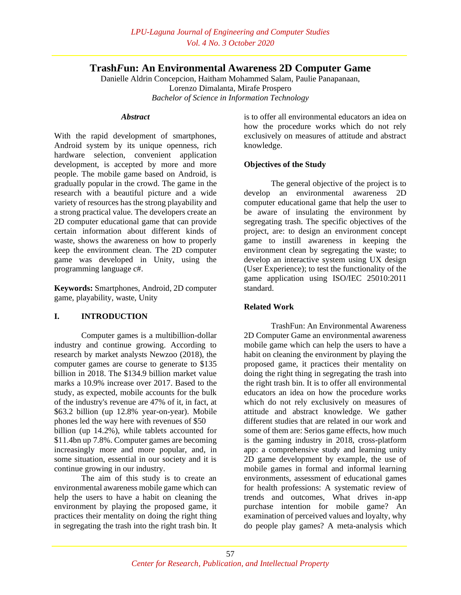# **Trash***F***un: An Environmental Awareness 2D Computer Game**

Danielle Aldrin Concepcion, Haitham Mohammed Salam, Paulie Panapanaan, Lorenzo Dimalanta, Mirafe Prospero *Bachelor of Science in Information Technology*

#### *Abstract*

With the rapid development of smartphones, Android system by its unique openness, rich hardware selection, convenient application development, is accepted by more and more people. The mobile game based on Android, is gradually popular in the crowd. The game in the research with a beautiful picture and a wide variety of resources has the strong playability and a strong practical value. The developers create an 2D computer educational game that can provide certain information about different kinds of waste, shows the awareness on how to properly keep the environment clean. The 2D computer game was developed in Unity, using the programming language c#.

**Keywords:** Smartphones, Android, 2D computer game, playability, waste, Unity

## **I. INTRODUCTION**

Computer games is a multibillion-dollar industry and continue growing. According to research by market analysts Newzoo (2018), the computer games are course to generate to \$135 billion in 2018. The \$134.9 billion market value marks a 10.9% increase over 2017. Based to the study, as expected, mobile accounts for the bulk of the industry's revenue are 47% of it, in fact, at \$63.2 billion (up 12.8% year-on-year). Mobile phones led the way here with revenues of \$50 billion (up 14.2%), while tablets accounted for \$11.4bn up 7.8%. Computer games are becoming increasingly more and more popular, and, in some situation, essential in our society and it is continue growing in our industry.

The aim of this study is to create an environmental awareness mobile game which can help the users to have a habit on cleaning the environment by playing the proposed game, it practices their mentality on doing the right thing in segregating the trash into the right trash bin. It

is to offer all environmental educators an idea on how the procedure works which do not rely exclusively on measures of attitude and abstract knowledge.

### **Objectives of the Study**

The general objective of the project is to develop an environmental awareness 2D computer educational game that help the user to be aware of insulating the environment by segregating trash. The specific objectives of the project, are: to design an environment concept game to instill awareness in keeping the environment clean by segregating the waste; to develop an interactive system using UX design (User Experience); to test the functionality of the game application using ISO/IEC 25010:2011 standard.

## **Related Work**

TrashFun: An Environmental Awareness 2D Computer Game an environmental awareness mobile game which can help the users to have a habit on cleaning the environment by playing the proposed game, it practices their mentality on doing the right thing in segregating the trash into the right trash bin. It is to offer all environmental educators an idea on how the procedure works which do not rely exclusively on measures of attitude and abstract knowledge. We gather different studies that are related in our work and some of them are: Serios game effects, how much is the gaming industry in 2018, cross-platform app: a comprehensive study and learning unity 2D game development by example, the use of mobile games in formal and informal learning environments, assessment of educational games for health professions: A systematic review of trends and outcomes, What drives in-app purchase intention for mobile game? An examination of perceived values and loyalty, why do people play games? A meta-analysis which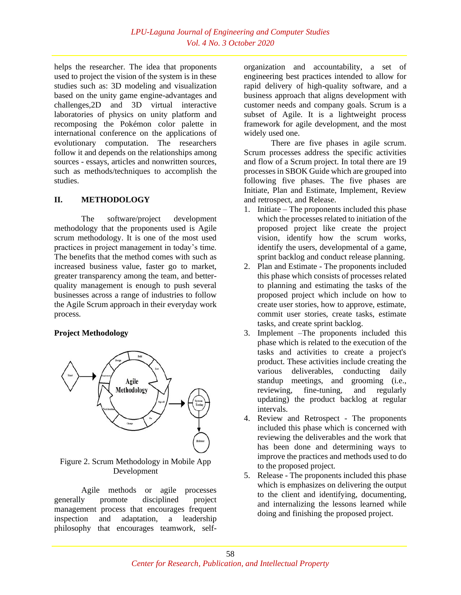helps the researcher. The idea that proponents used to project the vision of the system is in these studies such as: 3D modeling and visualization based on the unity game engine-advantages and challenges,2D and 3D virtual interactive laboratories of physics on unity platform and recomposing the Pokémon color palette in international conference on the applications of evolutionary computation. The researchers follow it and depends on the relationships among sources - essays, articles and nonwritten sources, such as methods/techniques to accomplish the studies.

### **II. METHODOLOGY**

The software/project development methodology that the proponents used is Agile scrum methodology. It is one of the most used practices in project management in today's time. The benefits that the method comes with such as increased business value, faster go to market, greater transparency among the team, and betterquality management is enough to push several businesses across a range of industries to follow the Agile Scrum approach in their everyday work process.

## **Project Methodology**



### Figure 2. Scrum Methodology in Mobile App Development

Agile methods or agile processes generally promote disciplined project management process that encourages frequent inspection and adaptation, a leadership philosophy that encourages teamwork, selforganization and accountability, a set of engineering best practices intended to allow for rapid delivery of high-quality software, and a business approach that aligns development with customer needs and company goals. Scrum is a subset of Agile. It is a lightweight process framework for agile development, and the most widely used one.

There are five phases in agile scrum. Scrum processes address the specific activities and flow of a Scrum project. In total there are 19 processes in SBOK Guide which are grouped into following five phases. The five phases are Initiate, Plan and Estimate, Implement, Review and retrospect, and Release.

- 1. Initiate The proponents included this phase which the processes related to initiation of the proposed project like create the project vision, identify how the scrum works, identify the users, developmental of a game, sprint backlog and conduct release planning.
- 2. Plan and Estimate The proponents included this phase which consists of processes related to planning and estimating the tasks of the proposed project which include on how to create user stories, how to approve, estimate, commit user stories, create tasks, estimate tasks, and create sprint backlog.
- 3. Implement –The proponents included this phase which is related to the execution of the tasks and activities to create a project's product. These activities include creating the various deliverables, conducting daily standup meetings, and grooming (i.e., reviewing, fine-tuning, and regularly updating) the product backlog at regular intervals.
- 4. Review and Retrospect The proponents included this phase which is concerned with reviewing the deliverables and the work that has been done and determining ways to improve the practices and methods used to do to the proposed project.
- 5. Release The proponents included this phase which is emphasizes on delivering the output to the client and identifying, documenting, and internalizing the lessons learned while doing and finishing the proposed project.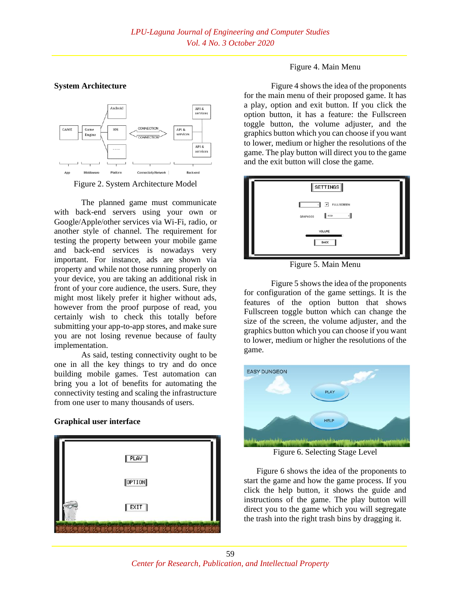#### **System Architecture**





The planned game must communicate with back-end servers using your own or Google/Apple/other services via Wi-Fi, radio, or another style of channel. The requirement for testing the property between your mobile game and back-end services is nowadays very important. For instance, ads are shown via property and while not those running properly on your device, you are taking an additional risk in front of your core audience, the users. Sure, they might most likely prefer it higher without ads, however from the proof purpose of read, you certainly wish to check this totally before submitting your app-to-app stores, and make sure you are not losing revenue because of faulty implementation.

As said, testing connectivity ought to be one in all the key things to try and do once building mobile games. Test automation can bring you a lot of benefits for automating the connectivity testing and scaling the infrastructure from one user to many thousands of users.

## **Graphical user interface**



#### Figure 4. Main Menu

Figure 4 shows the idea of the proponents for the main menu of their proposed game. It has a play, option and exit button. If you click the option button, it has a feature: the Fullscreen toggle button, the volume adjuster, and the graphics button which you can choose if you want to lower, medium or higher the resolutions of the game. The play button will direct you to the game and the exit button will close the game.



Figure 5. Main Menu

Figure 5 shows the idea of the proponents for configuration of the game settings. It is the features of the option button that shows Fullscreen toggle button which can change the size of the screen, the volume adjuster, and the graphics button which you can choose if you want to lower, medium or higher the resolutions of the game.



Figure 6. Selecting Stage Level

 Figure 6 shows the idea of the proponents to start the game and how the game process. If you click the help button, it shows the guide and instructions of the game. The play button will direct you to the game which you will segregate the trash into the right trash bins by dragging it.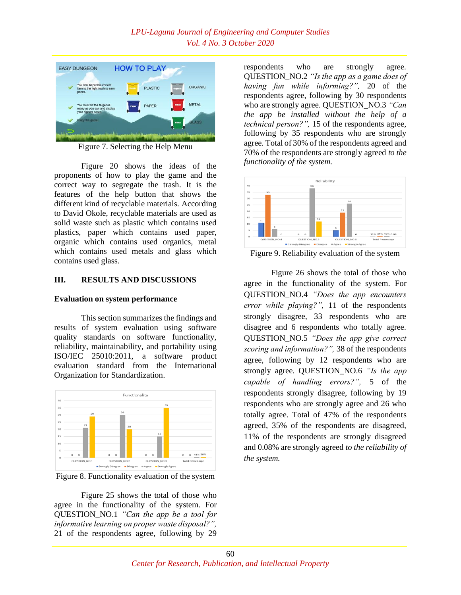

Figure 7. Selecting the Help Menu

Figure 20 shows the ideas of the proponents of how to play the game and the correct way to segregate the trash. It is the features of the help button that shows the different kind of recyclable materials. According to David Okole, recyclable materials are used as solid waste such as plastic which contains used plastics, paper which contains used paper, organic which contains used organics, metal which contains used metals and glass which contains used glass.

#### **III. RESULTS AND DISCUSSIONS**

#### **Evaluation on system performance**

This section summarizes the findings and results of system evaluation using software quality standards on software functionality, reliability, maintainability, and portability using ISO/IEC 25010:2011, a software product evaluation standard from the International Organization for Standardization.



Figure 8. Functionality evaluation of the system

Figure 25 shows the total of those who agree in the functionality of the system. For QUESTION\_NO.1 *"Can the app be a tool for informative learning on proper waste disposal?",* 21 of the respondents agree, following by 29

respondents who are strongly agree. QUESTION\_NO.2 *"Is the app as a game does of having fun while informing?",* 20 of the respondents agree, following by 30 respondents who are strongly agree. QUESTION\_NO.3 *"Can the app be installed without the help of a technical person?",* 15 of the respondents agree*,*  following by 35 respondents who are strongly agree. Total of 30% of the respondents agreed and 70% of the respondents are strongly agreed *to the functionality of the system.*



Figure 9. Reliability evaluation of the system

Figure 26 shows the total of those who agree in the functionality of the system. For QUESTION\_NO.4 *"Does the app encounters error while playing?",* 11 of the respondents strongly disagree, 33 respondents who are disagree and 6 respondents who totally agree. QUESTION\_NO.5 *"Does the app give correct scoring and information?",* 38 of the respondents agree, following by 12 respondents who are strongly agree. QUESTION\_NO.6 *"Is the app capable of handling errors?",* 5 of the respondents strongly disagree, following by 19 respondents who are strongly agree and 26 who totally agree. Total of 47% of the respondents agreed, 35% of the respondents are disagreed, 11% of the respondents are strongly disagreed and 0.08% are strongly agreed *to the reliability of the system.*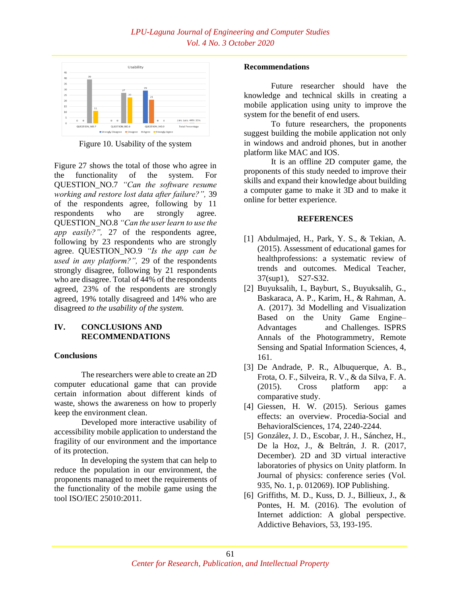

Figure 10. Usability of the system

Figure 27 shows the total of those who agree in the functionality of the system. For QUESTION\_NO.7 *"Can the software resume working and restore lost data after failure?",* 39 of the respondents agree, following by 11 respondents who are strongly agree. QUESTION\_NO.8 *"Can the user learn to use the app easily?",* 27 of the respondents agree, following by 23 respondents who are strongly agree. QUESTION\_NO.9 *"Is the app can be used in any platform?",* 29 of the respondents strongly disagree, following by 21 respondents who are disagree. Total of 44% of the respondents agreed, 23% of the respondents are strongly agreed, 19% totally disagreed and 14% who are disagreed *to the usability of the system.*

## **IV. CONCLUSIONS AND RECOMMENDATIONS**

#### **Conclusions**

The researchers were able to create an 2D computer educational game that can provide certain information about different kinds of waste, shows the awareness on how to properly keep the environment clean.

Developed more interactive usability of accessibility mobile application to understand the fragility of our environment and the importance of its protection.

In developing the system that can help to reduce the population in our environment, the proponents managed to meet the requirements of the functionality of the mobile game using the tool ISO/IEC 25010:2011.

#### **Recommendations**

Future researcher should have the knowledge and technical skills in creating a mobile application using unity to improve the system for the benefit of end users.

To future researchers, the proponents suggest building the mobile application not only in windows and android phones, but in another platform like MAC and IOS.

It is an offline 2D computer game, the proponents of this study needed to improve their skills and expand their knowledge about building a computer game to make it 3D and to make it online for better experience.

#### **REFERENCES**

- [1] Abdulmajed, H., Park, Y. S., & Tekian, A. (2015). Assessment of educational games for healthprofessions: a systematic review of trends and outcomes. Medical Teacher, 37(sup1), S27-S32.
- [2] Buyuksalih, I., Bayburt, S., Buyuksalih, G., Baskaraca, A. P., Karim, H., & Rahman, A. A. (2017). 3d Modelling and Visualization Based on the Unity Game Engine– Advantages and Challenges. ISPRS Annals of the Photogrammetry, Remote Sensing and Spatial Information Sciences, 4, 161.
- [3] De Andrade, P. R., Albuquerque, A. B., Frota, O. F., Silveira, R. V., & da Silva, F. A. (2015). Cross platform app: a comparative study.
- [4] Giessen, H. W. (2015). Serious games effects: an overview. Procedia-Social and BehavioralSciences, 174, 2240-2244.
- [5] González, J. D., Escobar, J. H., Sánchez, H., De la Hoz, J., & Beltrán, J. R. (2017, December). 2D and 3D virtual interactive laboratories of physics on Unity platform. In Journal of physics: conference series (Vol. 935, No. 1, p. 012069). IOP Publishing.
- [6] Griffiths, M. D., Kuss, D. J., Billieux, J., & Pontes, H. M. (2016). The evolution of Internet addiction: A global perspective. Addictive Behaviors, 53, 193-195.